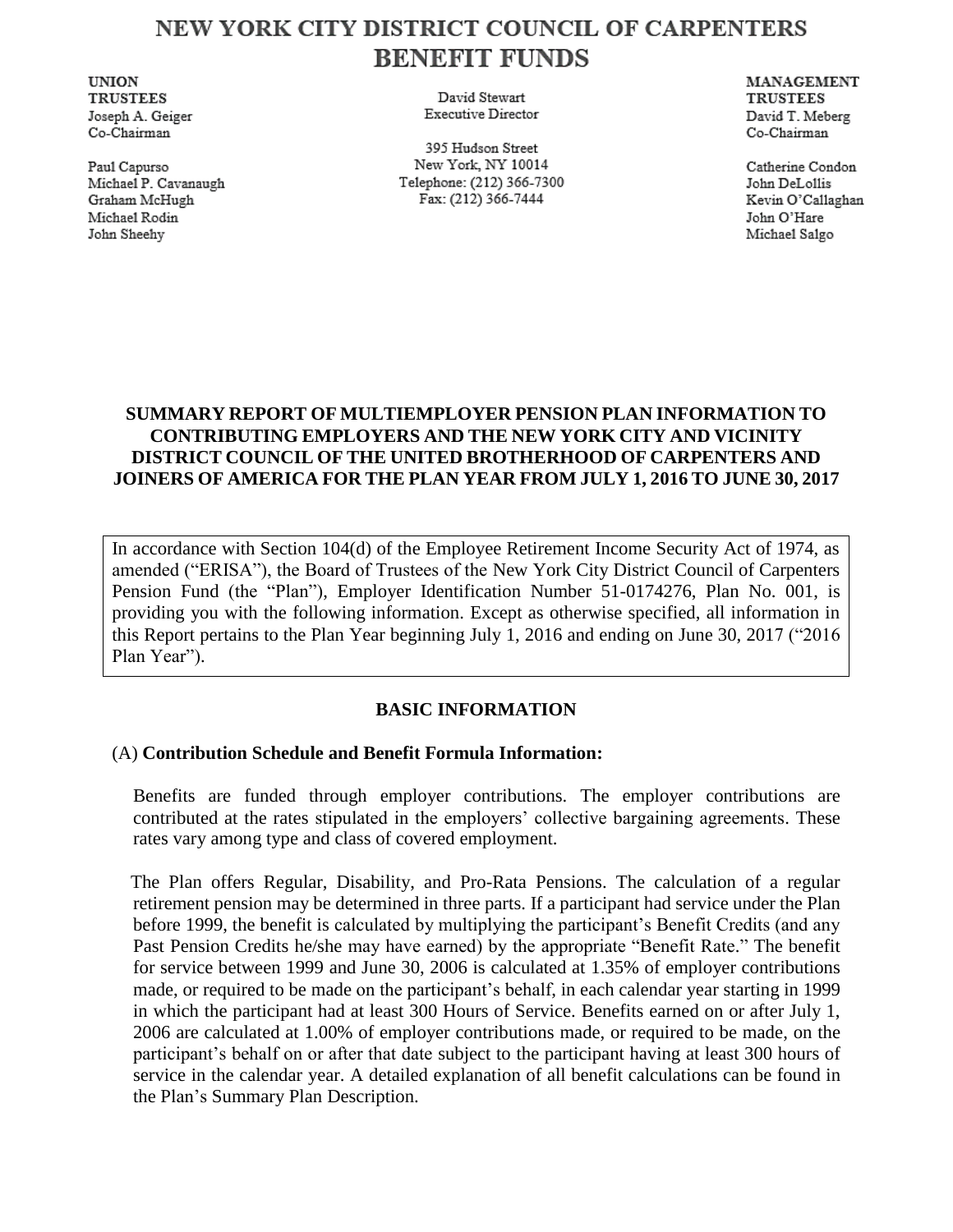# NEW YORK CITY DISTRICT COUNCIL OF CARPENTERS **BENEFIT FUNDS**

**UNION TRUSTEES** Joseph A. Geiger Co-Chairman

Paul Capurso Michael P. Cavanaugh Graham McHugh Michael Rodin John Sheehy

David Stewart **Executive Director** 

395 Hudson Street New York, NY 10014 Telephone: (212) 366-7300 Fax: (212) 366-7444

**MANAGEMENT TRUSTEES** David T. Meberg Co-Chairman

Catherine Condon John DeLollis Kevin O'Callaghan John O'Hare Michael Salgo

## **SUMMARY REPORT OF MULTIEMPLOYER PENSION PLAN INFORMATION TO CONTRIBUTING EMPLOYERS AND THE NEW YORK CITY AND VICINITY DISTRICT COUNCIL OF THE UNITED BROTHERHOOD OF CARPENTERS AND JOINERS OF AMERICA FOR THE PLAN YEAR FROM JULY 1, 2016 TO JUNE 30, 2017**

In accordance with Section 104(d) of the Employee Retirement Income Security Act of 1974, as amended ("ERISA"), the Board of Trustees of the New York City District Council of Carpenters Pension Fund (the "Plan"), Employer Identification Number 51-0174276, Plan No. 001, is providing you with the following information. Except as otherwise specified, all information in this Report pertains to the Plan Year beginning July 1, 2016 and ending on June 30, 2017 ("2016 Plan Year").

## **BASIC INFORMATION**

#### (A) **Contribution Schedule and Benefit Formula Information:**

Benefits are funded through employer contributions. The employer contributions are contributed at the rates stipulated in the employers' collective bargaining agreements. These rates vary among type and class of covered employment.

 The Plan offers Regular, Disability, and Pro-Rata Pensions. The calculation of a regular retirement pension may be determined in three parts. If a participant had service under the Plan before 1999, the benefit is calculated by multiplying the participant's Benefit Credits (and any Past Pension Credits he/she may have earned) by the appropriate "Benefit Rate." The benefit for service between 1999 and June 30, 2006 is calculated at 1.35% of employer contributions made, or required to be made on the participant's behalf, in each calendar year starting in 1999 in which the participant had at least 300 Hours of Service. Benefits earned on or after July 1, 2006 are calculated at 1.00% of employer contributions made, or required to be made, on the participant's behalf on or after that date subject to the participant having at least 300 hours of service in the calendar year. A detailed explanation of all benefit calculations can be found in the Plan's Summary Plan Description.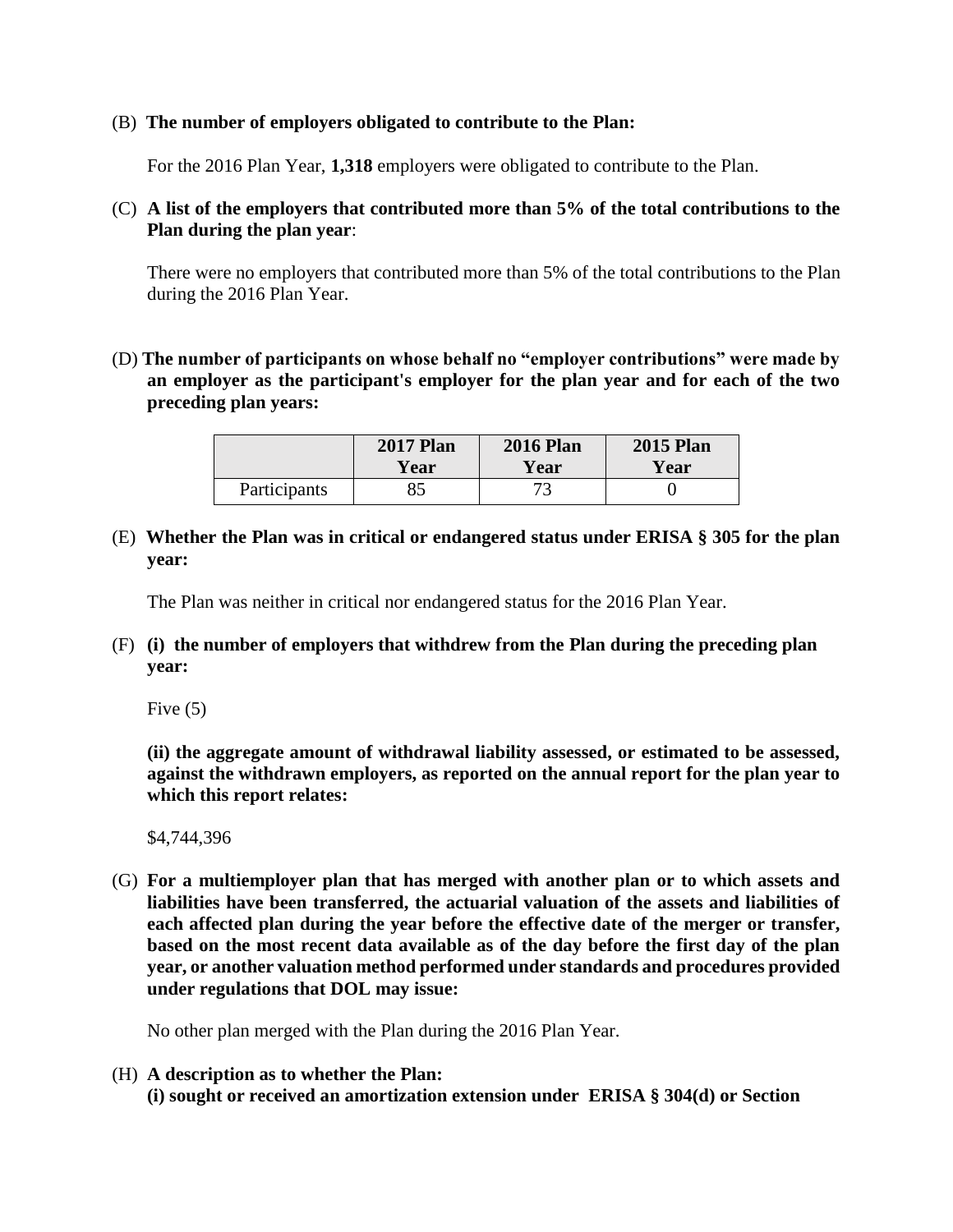#### (B) **The number of employers obligated to contribute to the Plan:**

For the 2016 Plan Year, **1,318** employers were obligated to contribute to the Plan.

(C) **A list of the employers that contributed more than 5% of the total contributions to the Plan during the plan year**:

There were no employers that contributed more than 5% of the total contributions to the Plan during the 2016 Plan Year.

(D) **The number of participants on whose behalf no "employer contributions" were made by an employer as the participant's employer for the plan year and for each of the two preceding plan years:**

|              | <b>2017 Plan</b> | <b>2016 Plan</b> | <b>2015 Plan</b> |
|--------------|------------------|------------------|------------------|
|              | Year             | Year             | Year             |
| Participants |                  |                  |                  |

(E) **Whether the Plan was in critical or endangered status under ERISA § 305 for the plan year:**

The Plan was neither in critical nor endangered status for the 2016 Plan Year.

(F) **(i) the number of employers that withdrew from the Plan during the preceding plan year:**

Five  $(5)$ 

**(ii) the aggregate amount of withdrawal liability assessed, or estimated to be assessed, against the withdrawn employers, as reported on the annual report for the plan year to which this report relates:**

\$4,744,396

(G) **For a multiemployer plan that has merged with another plan or to which assets and liabilities have been transferred, the actuarial valuation of the assets and liabilities of each affected plan during the year before the effective date of the merger or transfer, based on the most recent data available as of the day before the first day of the plan year, or another valuation method performed under standards and procedures provided under regulations that DOL may issue:**

No other plan merged with the Plan during the 2016 Plan Year.

(H) **A description as to whether the Plan: (i) sought or received an amortization extension under ERISA § 304(d) or Section**